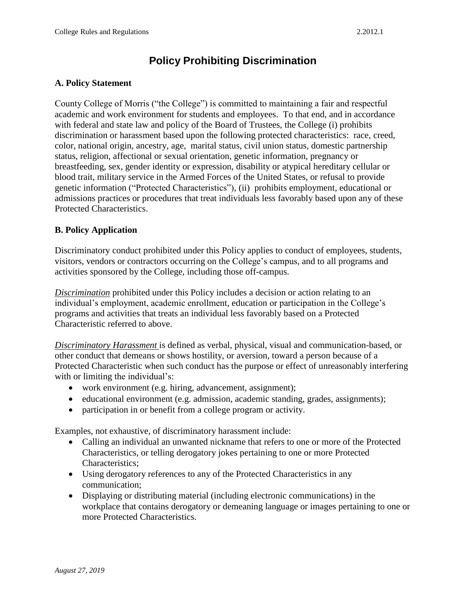# **Policy Prohibiting Discrimination**

#### **A. Policy Statement**

 academic and work environment for students and employees. To that end, and in accordance genetic information ("Protected Characteristics"), (ii) prohibits employment, educational or County College of Morris ("the College") is committed to maintaining a fair and respectful with federal and state law and policy of the Board of Trustees, the College (i) prohibits discrimination or harassment based upon the following protected characteristics: race, creed, color, national origin, ancestry, age, marital status, civil union status, domestic partnership status, religion, affectional or sexual orientation, genetic information, pregnancy or breastfeeding, sex, gender identity or expression, disability or atypical hereditary cellular or blood trait, military service in the Armed Forces of the United States, or refusal to provide admissions practices or procedures that treat individuals less favorably based upon any of these Protected Characteristics.

## **B. Policy Application**

Discriminatory conduct prohibited under this Policy applies to conduct of employees, students, visitors, vendors or contractors occurring on the College's campus, and to all programs and activities sponsored by the College, including those off-campus.

*Discrimination* prohibited under this Policy includes a decision or action relating to an individual's employment, academic enrollment, education or participation in the College's programs and activities that treats an individual less favorably based on a Protected Characteristic referred to above.

*Discriminatory Harassment* is defined as verbal, physical, visual and communication-based, or other conduct that demeans or shows hostility, or aversion, toward a person because of a Protected Characteristic when such conduct has the purpose or effect of unreasonably interfering with or limiting the individual's:

- work environment (e.g. hiring, advancement, assignment);
- educational environment (e.g. admission, academic standing, grades, assignments);
- participation in or benefit from a college program or activity.

Examples, not exhaustive, of discriminatory harassment include:

- Calling an individual an unwanted nickname that refers to one or more of the Protected Characteristics, or telling derogatory jokes pertaining to one or more Protected Characteristics;
- Using derogatory references to any of the Protected Characteristics in any communication;
- Displaying or distributing material (including electronic communications) in the workplace that contains derogatory or demeaning language or images pertaining to one or more Protected Characteristics.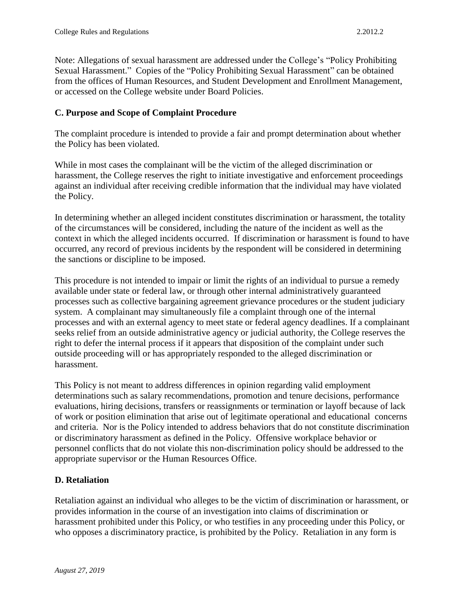Sexual Harassment." Copies of the "Policy Prohibiting Sexual Harassment" can be obtained Note: Allegations of sexual harassment are addressed under the College's "Policy Prohibiting from the offices of Human Resources, and Student Development and Enrollment Management, or accessed on the College website under Board Policies.

## **C. Purpose and Scope of Complaint Procedure**

The complaint procedure is intended to provide a fair and prompt determination about whether the Policy has been violated.

 against an individual after receiving credible information that the individual may have violated While in most cases the complainant will be the victim of the alleged discrimination or harassment, the College reserves the right to initiate investigative and enforcement proceedings the Policy.

In determining whether an alleged incident constitutes discrimination or harassment, the totality of the circumstances will be considered, including the nature of the incident as well as the context in which the alleged incidents occurred. If discrimination or harassment is found to have occurred, any record of previous incidents by the respondent will be considered in determining the sanctions or discipline to be imposed.

This procedure is not intended to impair or limit the rights of an individual to pursue a remedy available under state or federal law, or through other internal administratively guaranteed processes such as collective bargaining agreement grievance procedures or the student judiciary system. A complainant may simultaneously file a complaint through one of the internal processes and with an external agency to meet state or federal agency deadlines. If a complainant seeks relief from an outside administrative agency or judicial authority, the College reserves the right to defer the internal process if it appears that disposition of the complaint under such outside proceeding will or has appropriately responded to the alleged discrimination or harassment.

This Policy is not meant to address differences in opinion regarding valid employment determinations such as salary recommendations, promotion and tenure decisions, performance evaluations, hiring decisions, transfers or reassignments or termination or layoff because of lack of work or position elimination that arise out of legitimate operational and educational concerns and criteria. Nor is the Policy intended to address behaviors that do not constitute discrimination or discriminatory harassment as defined in the Policy. Offensive workplace behavior or personnel conflicts that do not violate this non-discrimination policy should be addressed to the appropriate supervisor or the Human Resources Office.

## **D. Retaliation**

Retaliation against an individual who alleges to be the victim of discrimination or harassment, or provides information in the course of an investigation into claims of discrimination or harassment prohibited under this Policy, or who testifies in any proceeding under this Policy, or who opposes a discriminatory practice, is prohibited by the Policy. Retaliation in any form is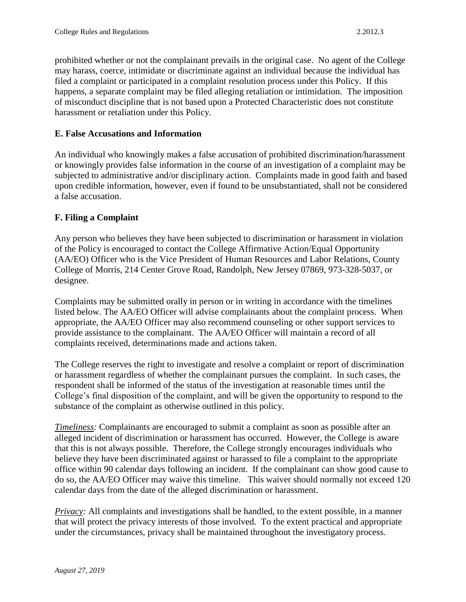prohibited whether or not the complainant prevails in the original case. No agent of the College may harass, coerce, intimidate or discriminate against an individual because the individual has filed a complaint or participated in a complaint resolution process under this Policy. If this happens, a separate complaint may be filed alleging retaliation or intimidation. The imposition of misconduct discipline that is not based upon a Protected Characteristic does not constitute harassment or retaliation under this Policy.

#### **E. False Accusations and Information**

An individual who knowingly makes a false accusation of prohibited discrimination/harassment or knowingly provides false information in the course of an investigation of a complaint may be subjected to administrative and/or disciplinary action. Complaints made in good faith and based upon credible information, however, even if found to be unsubstantiated, shall not be considered a false accusation.

## **F. Filing a Complaint**

Any person who believes they have been subjected to discrimination or harassment in violation of the Policy is encouraged to contact the College Affirmative Action/Equal Opportunity (AA/EO) Officer who is the Vice President of Human Resources and Labor Relations, County College of Morris, 214 Center Grove Road, Randolph, New Jersey 07869, 973-328-5037, or designee.

Complaints may be submitted orally in person or in writing in accordance with the timelines listed below. The AA/EO Officer will advise complainants about the complaint process. When appropriate, the AA/EO Officer may also recommend counseling or other support services to provide assistance to the complainant. The AA/EO Officer will maintain a record of all complaints received, determinations made and actions taken.

The College reserves the right to investigate and resolve a complaint or report of discrimination or harassment regardless of whether the complainant pursues the complaint. In such cases, the respondent shall be informed of the status of the investigation at reasonable times until the College's final disposition of the complaint, and will be given the opportunity to respond to the substance of the complaint as otherwise outlined in this policy.

*Timeliness:* Complainants are encouraged to submit a complaint as soon as possible after an alleged incident of discrimination or harassment has occurred. However, the College is aware that this is not always possible. Therefore, the College strongly encourages individuals who believe they have been discriminated against or harassed to file a complaint to the appropriate office within 90 calendar days following an incident. If the complainant can show good cause to do so, the AA/EO Officer may waive this timeline. This waiver should normally not exceed 120 calendar days from the date of the alleged discrimination or harassment.

*Privacy:* All complaints and investigations shall be handled, to the extent possible, in a manner that will protect the privacy interests of those involved. To the extent practical and appropriate under the circumstances, privacy shall be maintained throughout the investigatory process.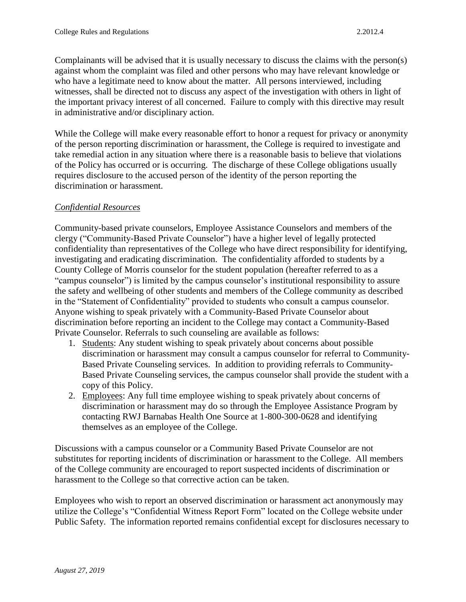Complainants will be advised that it is usually necessary to discuss the claims with the person(s) against whom the complaint was filed and other persons who may have relevant knowledge or who have a legitimate need to know about the matter. All persons interviewed, including witnesses, shall be directed not to discuss any aspect of the investigation with others in light of the important privacy interest of all concerned. Failure to comply with this directive may result in administrative and/or disciplinary action.

While the College will make every reasonable effort to honor a request for privacy or anonymity of the person reporting discrimination or harassment, the College is required to investigate and take remedial action in any situation where there is a reasonable basis to believe that violations of the Policy has occurred or is occurring. The discharge of these College obligations usually requires disclosure to the accused person of the identity of the person reporting the discrimination or harassment.

## *Confidential Resources*

Community-based private counselors, Employee Assistance Counselors and members of the clergy ("Community-Based Private Counselor") have a higher level of legally protected confidentiality than representatives of the College who have direct responsibility for identifying, investigating and eradicating discrimination. The confidentiality afforded to students by a County College of Morris counselor for the student population (hereafter referred to as a "campus counselor") is limited by the campus counselor's institutional responsibility to assure the safety and wellbeing of other students and members of the College community as described in the "Statement of Confidentiality" provided to students who consult a campus counselor. Anyone wishing to speak privately with a Community-Based Private Counselor about discrimination before reporting an incident to the College may contact a Community-Based Private Counselor. Referrals to such counseling are available as follows:

- 1. Students: Any student wishing to speak privately about concerns about possible discrimination or harassment may consult a campus counselor for referral to Community-Based Private Counseling services. In addition to providing referrals to Community-Based Private Counseling services, the campus counselor shall provide the student with a copy of this Policy.
- 2. Employees: Any full time employee wishing to speak privately about concerns of discrimination or harassment may do so through the Employee Assistance Program by contacting RWJ Barnabas Health One Source at 1-800-300-0628 and identifying themselves as an employee of the College.

Discussions with a campus counselor or a Community Based Private Counselor are not substitutes for reporting incidents of discrimination or harassment to the College. All members of the College community are encouraged to report suspected incidents of discrimination or harassment to the College so that corrective action can be taken.

Employees who wish to report an observed discrimination or harassment act anonymously may utilize the College's "Confidential Witness Report Form" located on the College website under Public Safety. The information reported remains confidential except for disclosures necessary to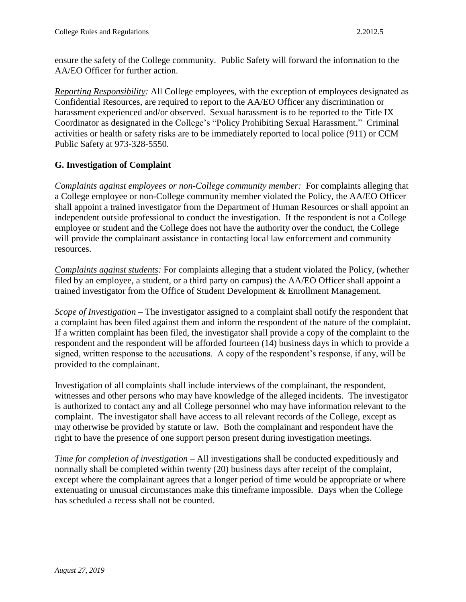ensure the safety of the College community. Public Safety will forward the information to the AA/EO Officer for further action.

 harassment experienced and/or observed. Sexual harassment is to be reported to the Title IX Coordinator as designated in the College's "Policy Prohibiting Sexual Harassment." Criminal *Reporting Responsibility:* All College employees, with the exception of employees designated as Confidential Resources, are required to report to the AA/EO Officer any discrimination or activities or health or safety risks are to be immediately reported to local police (911) or CCM Public Safety at 973-328-5550.

## **G. Investigation of Complaint**

Complaints against employees or non-College community member: For complaints alleging that a College employee or non-College community member violated the Policy, the AA/EO Officer shall appoint a trained investigator from the Department of Human Resources or shall appoint an independent outside professional to conduct the investigation. If the respondent is not a College employee or student and the College does not have the authority over the conduct, the College will provide the complainant assistance in contacting local law enforcement and community resources.

*Complaints against students:* For complaints alleging that a student violated the Policy, (whether filed by an employee, a student, or a third party on campus) the AA/EO Officer shall appoint a trained investigator from the Office of Student Development & Enrollment Management.

 signed, written response to the accusations. A copy of the respondent's response, if any, will be provided to the complainant. *Scope of Investigation* – The investigator assigned to a complaint shall notify the respondent that a complaint has been filed against them and inform the respondent of the nature of the complaint. If a written complaint has been filed, the investigator shall provide a copy of the complaint to the respondent and the respondent will be afforded fourteen (14) business days in which to provide a

 may otherwise be provided by statute or law. Both the complainant and respondent have the Investigation of all complaints shall include interviews of the complainant, the respondent, witnesses and other persons who may have knowledge of the alleged incidents. The investigator is authorized to contact any and all College personnel who may have information relevant to the complaint. The investigator shall have access to all relevant records of the College, except as right to have the presence of one support person present during investigation meetings.

*Time for completion of investigation* – All investigations shall be conducted expeditiously and normally shall be completed within twenty (20) business days after receipt of the complaint, except where the complainant agrees that a longer period of time would be appropriate or where extenuating or unusual circumstances make this timeframe impossible. Days when the College has scheduled a recess shall not be counted.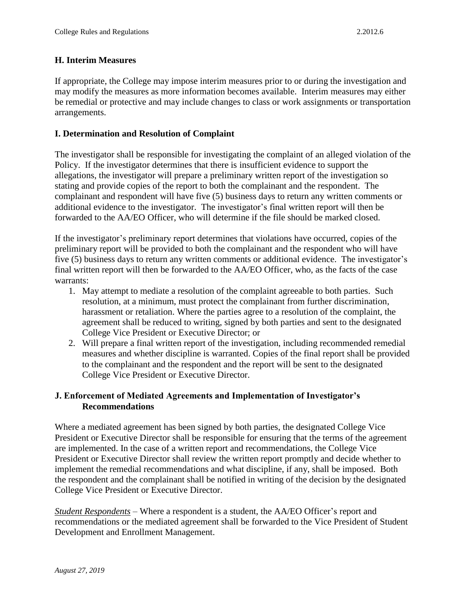## **H. Interim Measures**

 may modify the measures as more information becomes available. Interim measures may either If appropriate, the College may impose interim measures prior to or during the investigation and be remedial or protective and may include changes to class or work assignments or transportation arrangements.

## **I. Determination and Resolution of Complaint**

 additional evidence to the investigator. The investigator's final written report will then be The investigator shall be responsible for investigating the complaint of an alleged violation of the Policy. If the investigator determines that there is insufficient evidence to support the allegations, the investigator will prepare a preliminary written report of the investigation so stating and provide copies of the report to both the complainant and the respondent. The complainant and respondent will have five (5) business days to return any written comments or forwarded to the AA/EO Officer, who will determine if the file should be marked closed.

If the investigator's preliminary report determines that violations have occurred, copies of the preliminary report will be provided to both the complainant and the respondent who will have five (5) business days to return any written comments or additional evidence. The investigator's final written report will then be forwarded to the AA/EO Officer, who, as the facts of the case warrants:

- 1. May attempt to mediate a resolution of the complaint agreeable to both parties. Such resolution, at a minimum, must protect the complainant from further discrimination, harassment or retaliation. Where the parties agree to a resolution of the complaint, the agreement shall be reduced to writing, signed by both parties and sent to the designated College Vice President or Executive Director; or
- 2. Will prepare a final written report of the investigation, including recommended remedial measures and whether discipline is warranted. Copies of the final report shall be provided to the complainant and the respondent and the report will be sent to the designated College Vice President or Executive Director.

## **J. Enforcement of Mediated Agreements and Implementation of Investigator's Recommendations**

 Where a mediated agreement has been signed by both parties, the designated College Vice are implemented. In the case of a written report and recommendations, the College Vice President or Executive Director shall be responsible for ensuring that the terms of the agreement President or Executive Director shall review the written report promptly and decide whether to implement the remedial recommendations and what discipline, if any, shall be imposed. Both the respondent and the complainant shall be notified in writing of the decision by the designated College Vice President or Executive Director.

 *Student Respondents* – Where a respondent is a student, the AA/EO Officer's report and recommendations or the mediated agreement shall be forwarded to the Vice President of Student Development and Enrollment Management.